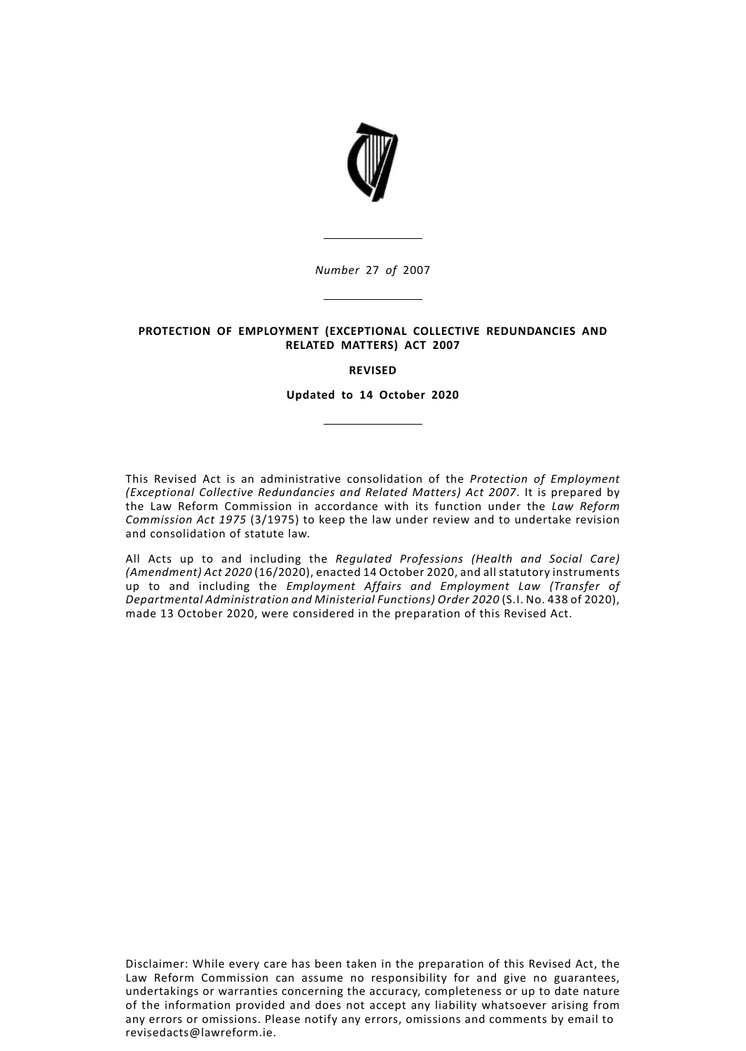

*Number* 27 *of* 2007

# **PROTECTION OF EMPLOYMENT (EXCEPTIONAL COLLECTIVE REDUNDANCIES AND RELATED MATTERS) ACT 2007**

## **REVISED**

**Updated to 14 October 2020**

This Revised Act is an administrative consolidation of the *Protection of Employment (Exceptional Collective Redundancies and Related Matters) Act 2007*. It is prepared by the Law Reform Commission in accordance with its function under the *Law Reform Commission Act 1975* (3/1975) to keep the law under review and to undertake revision and consolidation of statute law.

All Acts up to and including the *Regulated Professions (Health and Social Care) (Amendment) Act 2020* (16/2020), enacted 14 October 2020, and all statutory instruments up to and including the *Employment Affairs and Employment Law (Transfer of Departmental Administration and Ministerial Functions) Order 2020* (S.I. No. 438 of 2020), made 13 October 2020, were considered in the preparation of this Revised Act.

Disclaimer: While every care has been taken in the preparation of this Revised Act, the Law Reform Commission can assume no responsibility for and give no guarantees, undertakings or warranties concerning the accuracy, completeness or up to date nature of the information provided and does not accept any liability whatsoever arising from any errors or omissions. Please notify any errors, omissions and comments by email to revisedacts@lawreform.ie.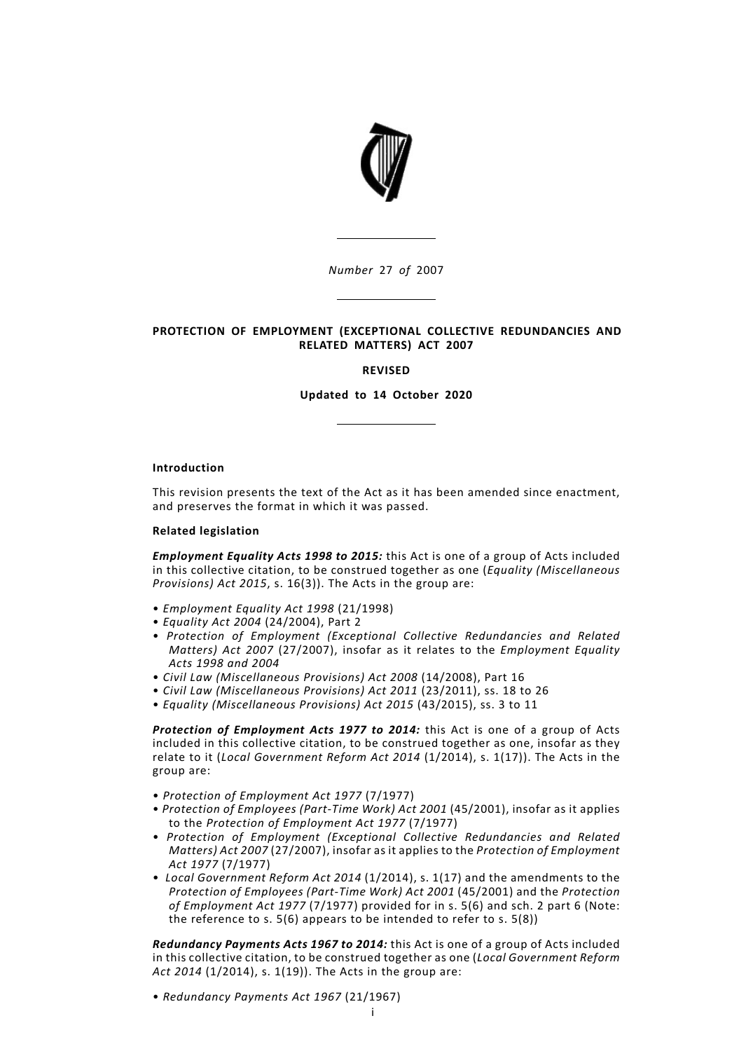

*Number* 27 *of* 2007

# **PROTECTION OF EMPLOYMENT (EXCEPTIONAL COLLECTIVE REDUNDANCIES AND RELATED MATTERS) ACT 2007**

## **REVISED**

**Updated to 14 October 2020**

## **Introduction**

This revision presents the text of the Act as it has been amended since enactment, and preserves the format in which it was passed.

## **Related legislation**

*Employment Equality Acts 1998 to 2015:* this Act is one of a group of Acts included in this collective citation, to be construed together as one (*Equality (Miscellaneous Provisions) Act 2015*, s. 16(3)). The Acts in the group are:

- *Employment Equality Act 1998* (21/1998)
- *Equality Act 2004* (24/2004), Part 2
- *Protection of Employment (Exceptional Collective Redundancies and Related Matters) Act 2007* (27/2007), insofar as it relates to the *Employment Equality Acts 1998 and 2004*
- *Civil Law (Miscellaneous Provisions) Act 2008* (14/2008), Part 16
- *Civil Law (Miscellaneous Provisions) Act 2011* (23/2011), ss. 18 to 26
- *Equality (Miscellaneous Provisions) Act 2015* (43/2015), ss. 3 to 11

*Protection of Employment Acts 1977 to 2014:* this Act is one of a group of Acts included in this collective citation, to be construed together as one, insofar as they relate to it (*Local Government Reform Act 2014* (1/2014), s. 1(17)). The Acts in the group are:

- *Protection of Employment Act 1977* (7/1977)
- *Protection of Employees (Part-Time Work) Act 2001* (45/2001), insofar as it applies to the *Protection of Employment Act 1977* (7/1977)
- *Protection of Employment (Exceptional Collective Redundancies and Related Matters) Act 2007* (27/2007), insofar as it applies to the *Protection of Employment Act 1977* (7/1977)
- *Local Government Reform Act 2014* (1/2014), s. 1(17) and the amendments to the *Protection of Employees (Part-Time Work) Act 2001* (45/2001) and the *Protection of Employment Act 1977* (7/1977) provided for in s. 5(6) and sch. 2 part 6 (Note: the reference to s. 5(6) appears to be intended to refer to s. 5(8))

*Redundancy Payments Acts 1967 to 2014:* this Act is one of a group of Acts included in this collective citation, to be construed together as one (*Local Government Reform Act 2014* (1/2014), s. 1(19)). The Acts in the group are:

• *Redundancy Payments Act 1967* (21/1967)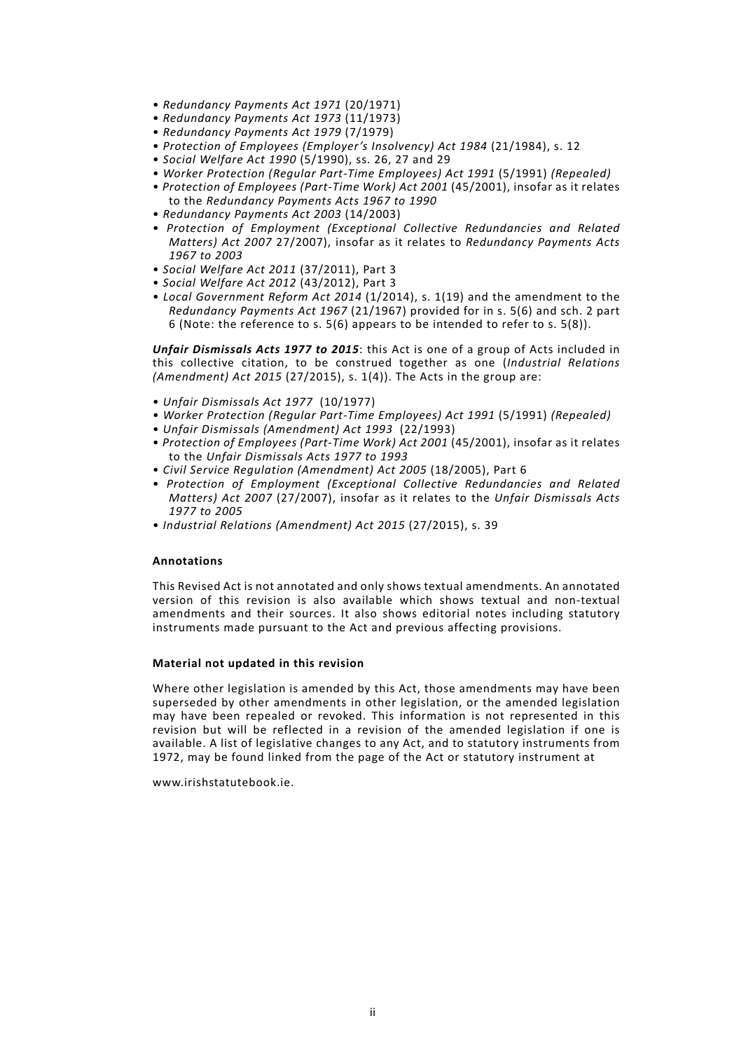- *Redundancy Payments Act 1971* (20/1971)
- *Redundancy Payments Act 1973* (11/1973)
- *Redundancy Payments Act 1979* (7/1979)
- *Protection of Employees (Employer's Insolvency) Act 1984* (21/1984), s. 12
- *Social Welfare Act 1990* (5/1990), ss. 26, 27 and 29
- *Worker Protection (Regular Part-Time Employees) Act 1991* (5/1991) *(Repealed)*
- *Protection of Employees (Part-Time Work) Act 2001* (45/2001), insofar as it relates to the *Redundancy Payments Acts 1967 to 1990*
- *Redundancy Payments Act 2003* (14/2003)
- *Protection of Employment (Exceptional Collective Redundancies and Related Matters) Act 2007* 27/2007), insofar as it relates to *Redundancy Payments Acts 1967 to 2003*
- *Social Welfare Act 2011* (37/2011), Part 3
- *Social Welfare Act 2012* (43/2012), Part 3
- *Local Government Reform Act 2014* (1/2014), s. 1(19) and the amendment to the *Redundancy Payments Act 1967* (21/1967) provided for in s. 5(6) and sch. 2 part 6 (Note: the reference to s. 5(6) appears to be intended to refer to s. 5(8)).

*Unfair Dismissals Acts 1977 to 2015*: this Act is one of a group of Acts included in this collective citation, to be construed together as one (*Industrial Relations (Amendment) Act 2015* (27/2015), s. 1(4)). The Acts in the group are:

- *Unfair Dismissals Act 1977* (10/1977)
- *Worker Protection (Regular Part-Time Employees) Act 1991* (5/1991) *(Repealed)*
- *Unfair Dismissals (Amendment) Act 1993* (22/1993)
- *Protection of Employees (Part-Time Work) Act 2001* (45/2001), insofar as it relates to the *Unfair Dismissals Acts 1977 to 1993*
- *Civil Service Regulation (Amendment) Act 2005* (18/2005), Part 6
- *Protection of Employment (Exceptional Collective Redundancies and Related Matters) Act 2007* (27/2007), insofar as it relates to the *Unfair Dismissals Acts 1977 to 2005*
- *Industrial Relations (Amendment) Act 2015* (27/2015), s. 39

# **Annotations**

This Revised Act is not annotated and only shows textual amendments. An annotated version of this revision is also available which shows textual and non-textual amendments and their sources. It also shows editorial notes including statutory instruments made pursuant to the Act and previous affecting provisions.

## **Material not updated in this revision**

Where other legislation is amended by this Act, those amendments may have been superseded by other amendments in other legislation, or the amended legislation may have been repealed or revoked. This information is not represented in this revision but will be reflected in a revision of the amended legislation if one is available. A list of legislative changes to any Act, and to statutory instruments from 1972, may be found linked from the page of the Act or statutory instrument at

www.irishstatutebook.ie.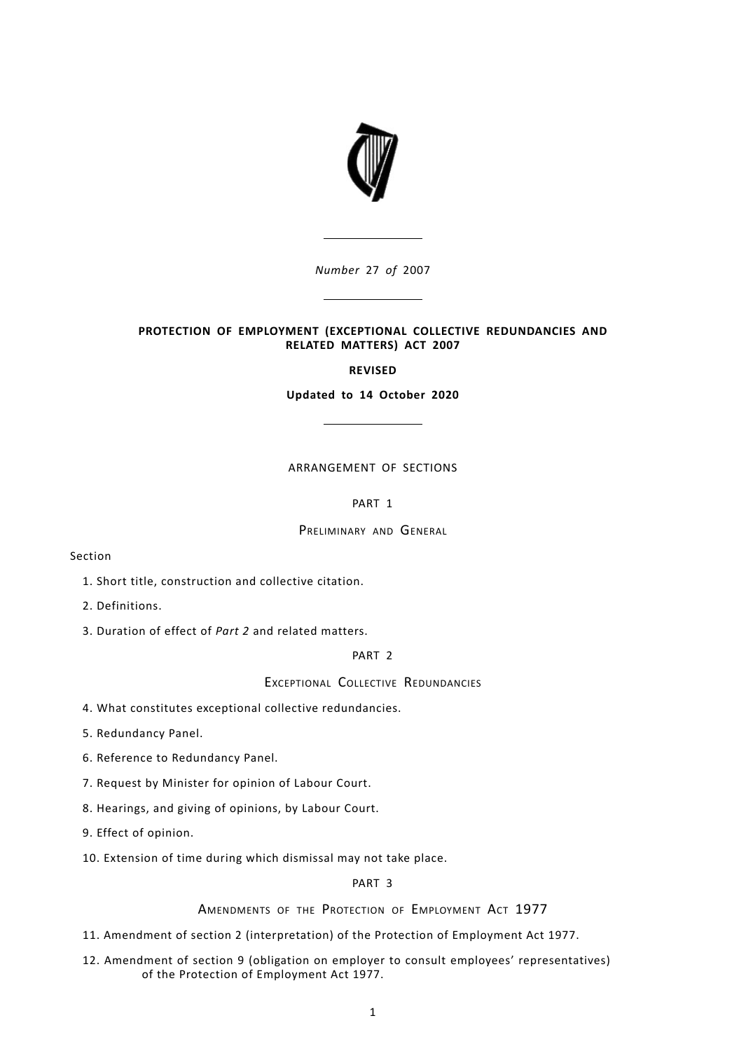

*Number* 27 *of* 2007

# **PROTECTION OF EMPLOYMENT (EXCEPTIONAL COLLECTIVE REDUNDANCIES AND RELATED MATTERS) ACT 2007**

# **REVISED**

**Updated to 14 October 2020**

# ARRANGEMENT OF SECTIONS

# [PART](#page-7-0) 1

# PRELIMINARY AND GENERAL

# Section

- 1. Short title, [construction](#page-7-1) and collective citation.
- 2. [Definitions.](#page-8-0)
- 3. [Duration](#page-8-1) of effect of *Part 2* and related matters.

# [PART](#page-9-0) 2

# EXCEPTIONAL COLLECTIVE REDUNDANCIES

- 4. What constitutes exceptional collective [redundancies.](#page-9-1)
- 5. [Redundancy](#page-9-2) Panel.
- 6. Reference to [Redundancy](#page-10-0) Panel.
- 7. Request by [Minister](#page-11-0) for opinion of Labour Court.
- 8. [Hearings,](#page-12-0) and giving of opinions, by Labour Court.
- 9. Effect of [opinion.](#page-13-0)
- 10. [Extension](#page-14-0) of time during which dismissal may not take place.

# [PART](#page-14-1) 3

AMENDMENTS OF THE PROTECTION OF EMPLOYMENT ACT 1977

- 11. Amendment of section 2 [\(interpretation\)](#page-14-2) of the Protection of Employment Act 1977.
- 12. Amendment of section 9 (obligation on employer to consult employees' [representatives\)](#page-14-3) of the Protection of [Employment](#page-14-3) Act 1977.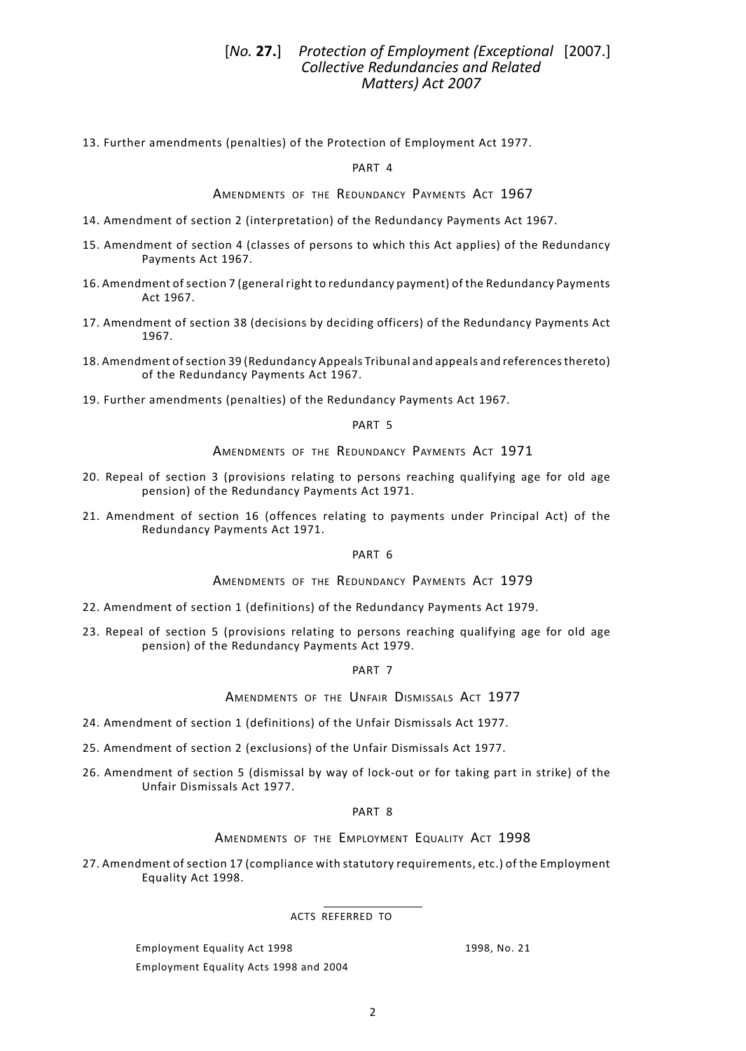# *Protection of Employment (Exceptional* [2007.] [*No.* **27.**] *Collective Redundancies and Related Matters) Act 2007*

13. Further [amendments](#page-14-4) (penalties) of the Protection of Employment Act 1977.

[PART](#page-15-0) 4

AMENDMENTS OF THE REDUNDANCY PAYMENTS ACT 1967

- 14. Amendment of section 2 [\(interpretation\)](#page-15-1) of the Redundancy Payments Act 1967.
- 15. [Amendment](#page-15-2) of section 4 (classes of persons to which this Act applies) of the Redundancy [Payments](#page-15-2) Act 1967.
- 16. [Amendment](#page-15-3) of section 7 (general right to redundancy payment) of the Redundancy Payments Act [1967.](#page-15-3)
- 17. [Amendment](#page-16-0) of section 38 (decisions by deciding officers) of the Redundancy Payments Act [1967.](#page-16-0)
- 18. Amendment ofsection 39 (Redundancy Appeals Tribunal and appeals and [referencesthereto\)](#page-16-1) of the [Redundancy](#page-16-1) Payments Act 1967.
- 19. Further [amendments](#page-16-2) (penalties) of the Redundancy Payments Act 1967.

## [PART](#page-16-3) 5

# AMENDMENTS OF THE REDUNDANCY PAYMENTS ACT 1971

- 20. Repeal of section 3 [\(provisions](#page-17-0) relating to persons reaching qualifying age for old age pension) of the [Redundancy](#page-17-0) Payments Act 1971.
- 21. [Amendment](#page-17-1) of section 16 (offences relating to payments under Principal Act) of the [Redundancy](#page-17-1) Payments Act 1971.

[PART](#page-17-2) 6

AMENDMENTS OF THE REDUNDANCY PAYMENTS ACT 1979

- 22. Amendment of section 1 [\(definitions\)](#page-17-3) of the Redundancy Payments Act 1979.
- 23. Repeal of section 5 [\(provisions](#page-17-4) relating to persons reaching qualifying age for old age pension) of the [Redundancy](#page-17-4) Payments Act 1979.

[PART](#page-17-5) 7

AMENDMENTS OF THE UNFAIR DISMISSALS ACT 1977

- 24. Amendment of section 1 [\(definitions\)](#page-17-6) of the Unfair Dismissals Act 1977.
- 25. [Amendment](#page-18-0) of section 2 (exclusions) of the Unfair Dismissals Act 1977.
- 26. [Amendment](#page-19-0) of section 5 (dismissal by way of lock-out or for taking part in strike) of the Unfair [Dismissals](#page-19-0) Act 1977.

## [PART](#page-19-1) 8

### AMENDMENTS OF THE EMPLOYMENT EQUALITY ACT 1998

27. Amendment of section 17 (compliance with statutory [requirements,](#page-19-2) etc.) of the Employment [Equality](#page-19-2) Act 1998.

ACTS REFERRED TO

Employment Equality Act 1998 1998, No. 21 Employment Equality Acts 1998 and 2004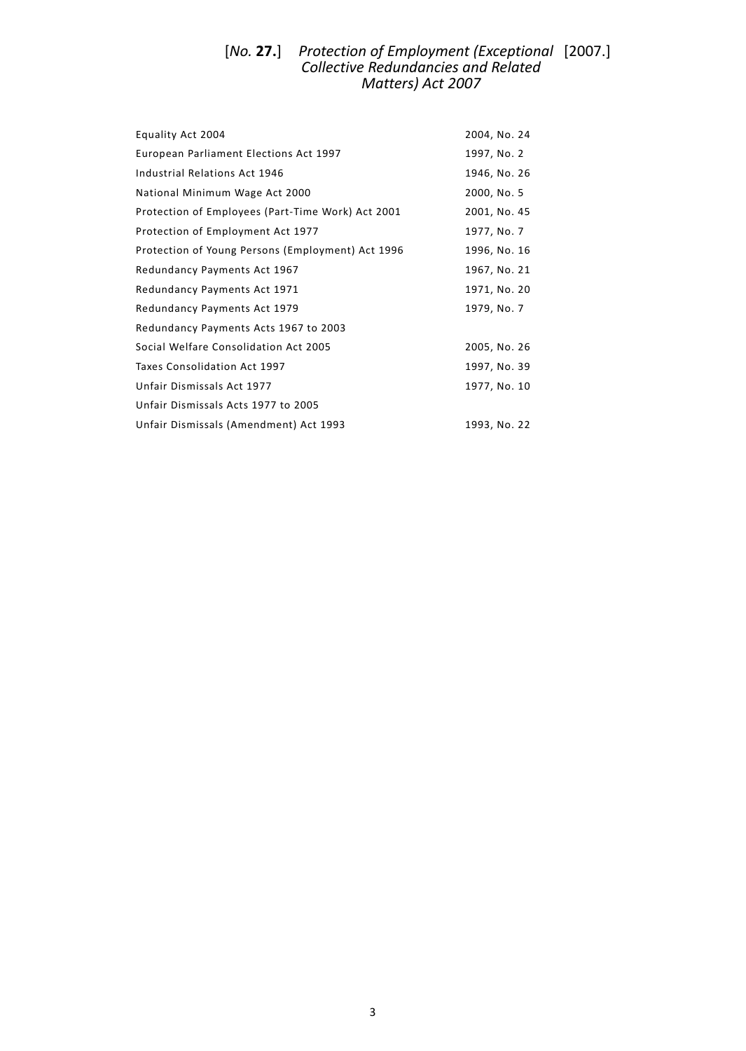#### *Protection of Employment (Exceptional* [2007.] *Collective Redundancies and Related Matters) Act 2007* [*No.* **27.**]

| Equality Act 2004                                 | 2004, No. 24 |
|---------------------------------------------------|--------------|
| European Parliament Elections Act 1997            | 1997, No. 2  |
| Industrial Relations Act 1946                     | 1946, No. 26 |
| National Minimum Wage Act 2000                    | 2000, No. 5  |
| Protection of Employees (Part-Time Work) Act 2001 | 2001, No. 45 |
| Protection of Employment Act 1977                 | 1977, No. 7  |
| Protection of Young Persons (Employment) Act 1996 | 1996, No. 16 |
| Redundancy Payments Act 1967                      | 1967, No. 21 |
| Redundancy Payments Act 1971                      | 1971, No. 20 |
| Redundancy Payments Act 1979                      | 1979, No. 7  |
| Redundancy Payments Acts 1967 to 2003             |              |
| Social Welfare Consolidation Act 2005             | 2005, No. 26 |
| Taxes Consolidation Act 1997                      | 1997, No. 39 |
| Unfair Dismissals Act 1977                        | 1977, No. 10 |
| Unfair Dismissals Acts 1977 to 2005               |              |
| Unfair Dismissals (Amendment) Act 1993            | 1993, No. 22 |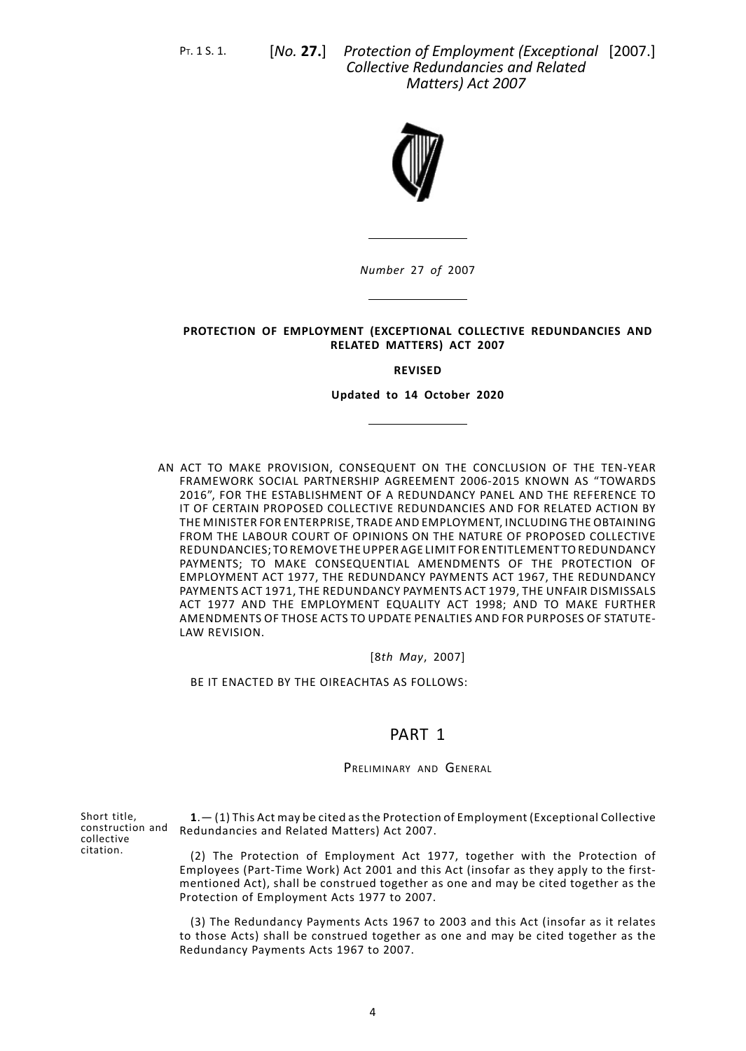PT. 1 S. 1. [*No.* **27.**]

*Protection of Employment (Exceptional* [2007.] *Collective Redundancies and Related Matters) Act 2007*



*Number* 27 *of* 2007

## **PROTECTION OF EMPLOYMENT (EXCEPTIONAL COLLECTIVE REDUNDANCIES AND RELATED MATTERS) ACT 2007**

#### **REVISED**

#### **Updated to 14 October 2020**

AN ACT TO MAKE PROVISION, CONSEQUENT ON THE CONCLUSION OF THE TEN-YEAR FRAMEWORK SOCIAL PARTNERSHIP AGREEMENT 2006-2015 KNOWN AS "TOWARDS 2016", FOR THE ESTABLISHMENT OF A REDUNDANCY PANEL AND THE REFERENCE TO IT OF CERTAIN PROPOSED COLLECTIVE REDUNDANCIES AND FOR RELATED ACTION BY THE MINISTER FOR ENTERPRISE, TRADE AND EMPLOYMENT, INCLUDING THE OBTAINING FROM THE LABOUR COURT OF OPINIONS ON THE NATURE OF PROPOSED COLLECTIVE REDUNDANCIES; TOREMOVE THEUPPER AGE LIMIT FOR ENTITLEMENT TOREDUNDANCY PAYMENTS; TO MAKE CONSEQUENTIAL AMENDMENTS OF THE PROTECTION OF EMPLOYMENT ACT 1977, THE REDUNDANCY PAYMENTS ACT 1967, THE REDUNDANCY PAYMENTS ACT 1971, THE REDUNDANCY PAYMENTS ACT 1979, THE UNFAIR DISMISSALS ACT 1977 AND THE EMPLOYMENT EQUALITY ACT 1998; AND TO MAKE FURTHER AMENDMENTS OF THOSE ACTS TO UPDATE PENALTIES AND FOR PURPOSES OF STATUTE-LAW REVISION.

#### [8*th May*, 2007]

<span id="page-7-1"></span><span id="page-7-0"></span>BE IT ENACTED BY THE OIREACHTAS AS FOLLOWS:

# PART 1

## PRELIMINARY AND GENERAL

Short title, construction and collective citation.

**1**.— (1) This Act may be cited as the Protection of Employment (Exceptional Collective Redundancies and Related Matters) Act 2007.

(2) The Protection of Employment Act 1977, together with the Protection of Employees (Part-Time Work) Act 2001 and this Act (insofar as they apply to the firstmentioned Act), shall be construed together as one and may be cited together as the Protection of Employment Acts 1977 to 2007.

(3) The Redundancy Payments Acts 1967 to 2003 and this Act (insofar as it relates to those Acts) shall be construed together as one and may be cited together as the Redundancy Payments Acts 1967 to 2007.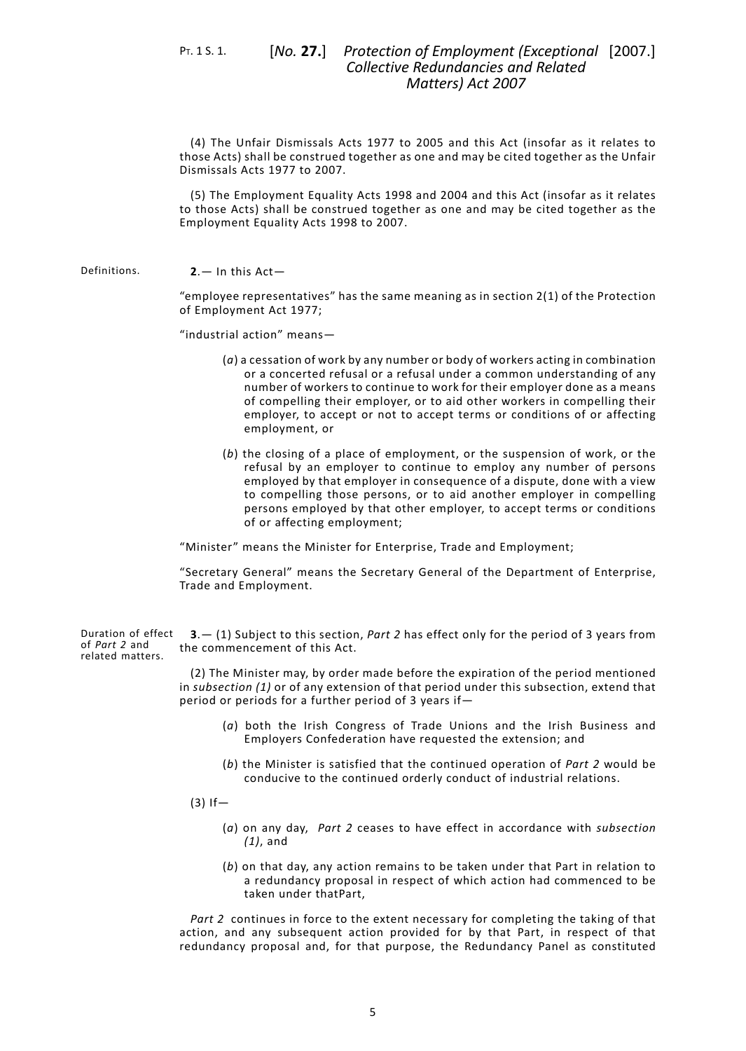PT. 1 S. 1. [*No.* **27.**]

(4) The Unfair Dismissals Acts 1977 to 2005 and this Act (insofar as it relates to those Acts) shall be construed together as one and may be cited together as the Unfair Dismissals Acts 1977 to 2007.

<span id="page-8-0"></span>(5) The Employment Equality Acts 1998 and 2004 and this Act (insofar as it relates to those Acts) shall be construed together as one and may be cited together as the Employment Equality Acts 1998 to 2007.

Definitions. **2**.— In this Act—

"employee representatives" has the same meaning as in section 2(1) of the Protection of Employment Act 1977;

"industrial action" means—

- (*a*) a cessation of work by any number or body of workers acting in combination or a concerted refusal or a refusal under a common understanding of any number of workers to continue to work for their employer done as a means of compelling their employer, or to aid other workers in compelling their employer, to accept or not to accept terms or conditions of or affecting employment, or
- (*b*) the closing of a place of employment, or the suspension of work, or the refusal by an employer to continue to employ any number of persons employed by that employer in consequence of a dispute, done with a view to compelling those persons, or to aid another employer in compelling persons employed by that other employer, to accept terms or conditions of or affecting employment;

<span id="page-8-1"></span>"Minister" means the Minister for Enterprise, Trade and Employment;

"Secretary General" means the Secretary General of the Department of Enterprise, Trade and Employment.

Duration of effect of *Part 2* and related matters. **3**.— (1) Subject to this section, *[Part](#page-9-0) 2* has effect only for the period of 3 years from the commencement of this Act.

> (2) The Minister may, by order made before the expiration of the period mentioned in *subsection (1)* or of any extension of that period under this subsection, extend that period or periods for a further period of 3 years if—

- (*a*) both the Irish Congress of Trade Unions and the Irish Business and Employers Confederation have requested the extension; and
- (*b*) the Minister is satisfied that the continued operation of *[Part](#page-9-0) 2* would be conducive to the continued orderly conduct of industrial relations.
- $(3)$  If
	- (*a*) on any day, *[Part](#page-9-0) 2* ceases to have effect in accordance with *subsection (1)*, and
	- (*b*) on that day, any action remains to be taken under that Part in relation to a redundancy proposal in respect of which action had commenced to be taken under thatPart,

*[Part](#page-9-0) 2* continues in force to the extent necessary for completing the taking of that action, and any subsequent action provided for by that Part, in respect of that redundancy proposal and, for that purpose, the Redundancy Panel as constituted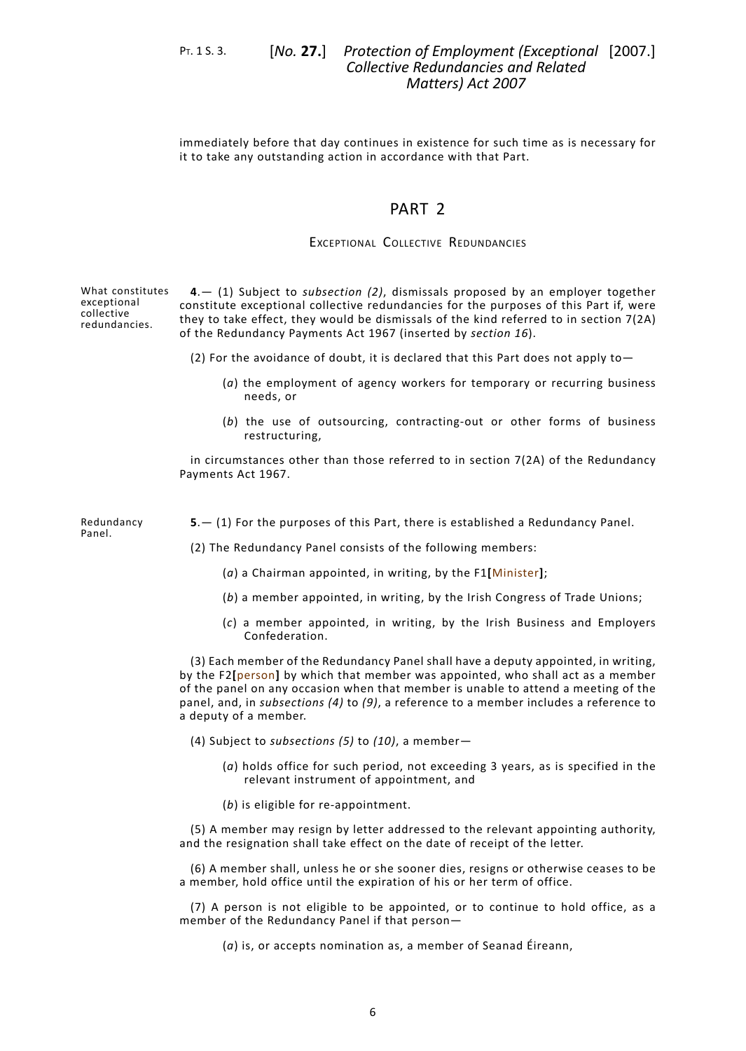PT. 1 S. 3. [*No.* **27.**]

Panel.

# *Protection of Employment (Exceptional* [2007.] *Collective Redundancies and Related Matters) Act 2007*

<span id="page-9-0"></span>immediately before that day continues in existence for such time as is necessary for it to take any outstanding action in accordance with that Part.

# PART<sub>2</sub>

# EXCEPTIONAL COLLECTIVE REDUNDANCIES

<span id="page-9-1"></span>What constitutes exceptional collective redundancies. **4**.— (1) Subject to *subsection (2)*, dismissals proposed by an employer together constitute exceptional collective redundancies for the purposes of this Part if, were they to take effect, they would be dismissals of the kind referred to in section 7(2A) of the Redundancy Payments Act 1967 (inserted by *[section](#page-15-3) 16*).

(2) For the avoidance of doubt, it is declared that this Part does not apply to—

- (*a*) the employment of agency workers for temporary or recurring business needs, or
- (*b*) the use of outsourcing, contracting-out or other forms of business restructuring,

<span id="page-9-2"></span>in circumstances other than those referred to in section 7(2A) of the Redundancy Payments Act 1967.

Redundancy **5**.— (1) For the purposes of this Part, there is established a Redundancy Panel.

(2) The Redundancy Panel consists of the following members:

- (*a*) a Chairman appointed, in writing, by the F1**[**Minister**]**;
- (*b*) a member appointed, in writing, by the Irish Congress of Trade Unions;
- (*c*) a member appointed, in writing, by the Irish Business and Employers Confederation.

(3) Each member of the Redundancy Panel shall have a deputy appointed, in writing, by the F2**[**person**]** by which that member was appointed, who shall act as a member of the panel on any occasion when that member is unable to attend a meeting of the panel, and, in *subsections (4)* to *(9)*, a reference to a member includes a reference to a deputy of a member.

(4) Subject to *subsections (5)* to *(10)*, a member—

- (*a*) holds office for such period, not exceeding 3 years, as is specified in the relevant instrument of appointment, and
- (*b*) is eligible for re-appointment.

(5) A member may resign by letter addressed to the relevant appointing authority, and the resignation shall take effect on the date of receipt of the letter.

(6) A member shall, unless he or she sooner dies, resigns or otherwise ceases to be a member, hold office until the expiration of his or her term of office.

(7) A person is not eligible to be appointed, or to continue to hold office, as a member of the Redundancy Panel if that person—

(*a*) is, or accepts nomination as, a member of Seanad Éireann,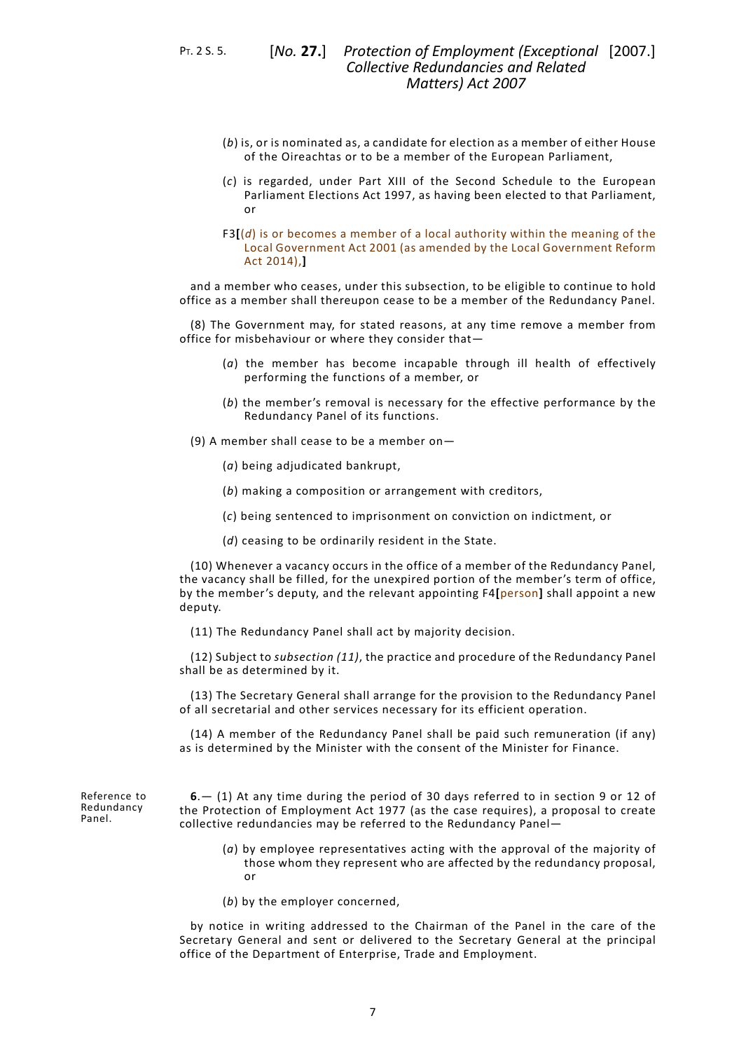PT. 2 S. 5. [*No.* **27.**]

- (*b*) is, or is nominated as, a candidate for election as a member of either House of the Oireachtas or to be a member of the European Parliament,
- (*c*) is regarded, under Part XIII of the Second Schedule to the European Parliament Elections Act 1997, as having been elected to that Parliament, or
- F3**[**(*d*) is or becomes a member of a local authority within the meaning of the Local Government Act 2001 (as amended by the Local Government Reform Act 2014),**]**

and a member who ceases, under this subsection, to be eligible to continue to hold office as a member shall thereupon cease to be a member of the Redundancy Panel.

(8) The Government may, for stated reasons, at any time remove a member from office for misbehaviour or where they consider that—

- (*a*) the member has become incapable through ill health of effectively performing the functions of a member, or
- (*b*) the member's removal is necessary for the effective performance by the Redundancy Panel of its functions.
- (9) A member shall cease to be a member on—
	- (*a*) being adjudicated bankrupt,
	- (*b*) making a composition or arrangement with creditors,
	- (*c*) being sentenced to imprisonment on conviction on indictment, or
	- (*d*) ceasing to be ordinarily resident in the State.

(10) Whenever a vacancy occurs in the office of a member of the Redundancy Panel, the vacancy shall be filled, for the unexpired portion of the member's term of office, by the member's deputy, and the relevant appointing F4**[**person**]** shall appoint a new deputy.

(11) The Redundancy Panel shall act by majority decision.

(12) Subject to *subsection (11)*, the practice and procedure of the Redundancy Panel shall be as determined by it.

<span id="page-10-0"></span>(13) The Secretary General shall arrange for the provision to the Redundancy Panel of all secretarial and other services necessary for its efficient operation.

(14) A member of the Redundancy Panel shall be paid such remuneration (if any) as is determined by the Minister with the consent of the Minister for Finance.

Reference to Redundancy Panel.

**6**.— (1) At any time during the period of 30 days referred to in section 9 or 12 of the Protection of Employment Act 1977 (as the case requires), a proposal to create collective redundancies may be referred to the Redundancy Panel—

- (*a*) by employee representatives acting with the approval of the majority of those whom they represent who are affected by the redundancy proposal, or
- (*b*) by the employer concerned,

by notice in writing addressed to the Chairman of the Panel in the care of the Secretary General and sent or delivered to the Secretary General at the principal office of the Department of Enterprise, Trade and Employment.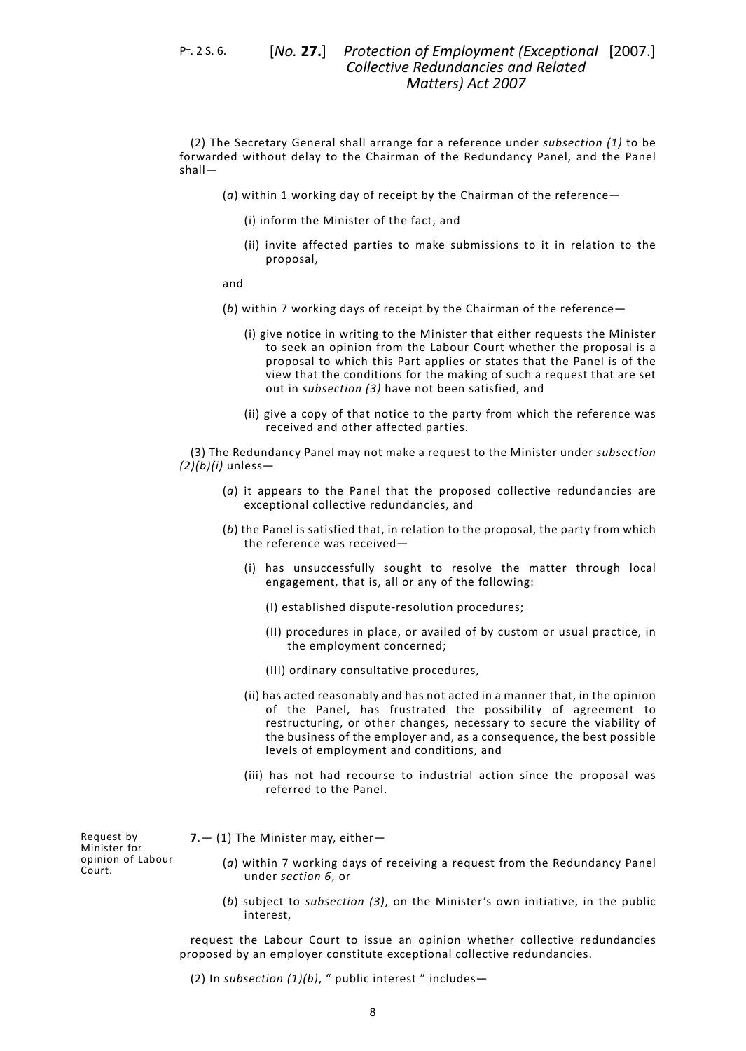PT. 2 S. 6. [*No.* **27.**]

(2) The Secretary General shall arrange for a reference under *subsection (1)* to be forwarded without delay to the Chairman of the Redundancy Panel, and the Panel shall—

- (*a*) within 1 working day of receipt by the Chairman of the reference—
	- (i) inform the Minister of the fact, and
	- (ii) invite affected parties to make submissions to it in relation to the proposal,

and

- (*b*) within 7 working days of receipt by the Chairman of the reference—
	- (i) give notice in writing to the Minister that either requests the Minister to seek an opinion from the Labour Court whether the proposal is a proposal to which this Part applies or states that the Panel is of the view that the conditions for the making of such a request that are set out in *subsection (3)* have not been satisfied, and
	- (ii) give a copy of that notice to the party from which the reference was received and other affected parties.

(3) The Redundancy Panel may not make a request to the Minister under *subsection (2)(b)(i)* unless—

- (*a*) it appears to the Panel that the proposed collective redundancies are exceptional collective redundancies, and
- (*b*) the Panel is satisfied that, in relation to the proposal, the party from which the reference was received—
	- (i) has unsuccessfully sought to resolve the matter through local engagement, that is, all or any of the following:
		- (I) established dispute-resolution procedures;
		- (II) procedures in place, or availed of by custom or usual practice, in the employment concerned;
		- (III) ordinary consultative procedures,
	- (ii) has acted reasonably and has not acted in a manner that, in the opinion of the Panel, has frustrated the possibility of agreement to restructuring, or other changes, necessary to secure the viability of the business of the employer and, as a consequence, the best possible levels of employment and conditions, and
	- (iii) has not had recourse to industrial action since the proposal was referred to the Panel.

Request by Minister for opinion of Labour Court.

- <span id="page-11-0"></span>**7**.— (1) The Minister may, either—
	- (*a*) within 7 working days of receiving a request from the Redundancy Panel under *[section](#page-10-0) 6*, or
	- (*b*) subject to *subsection (3)*, on the Minister's own initiative, in the public interest,

request the Labour Court to issue an opinion whether collective redundancies proposed by an employer constitute exceptional collective redundancies.

(2) In *subsection (1)(b)*, " public interest " includes—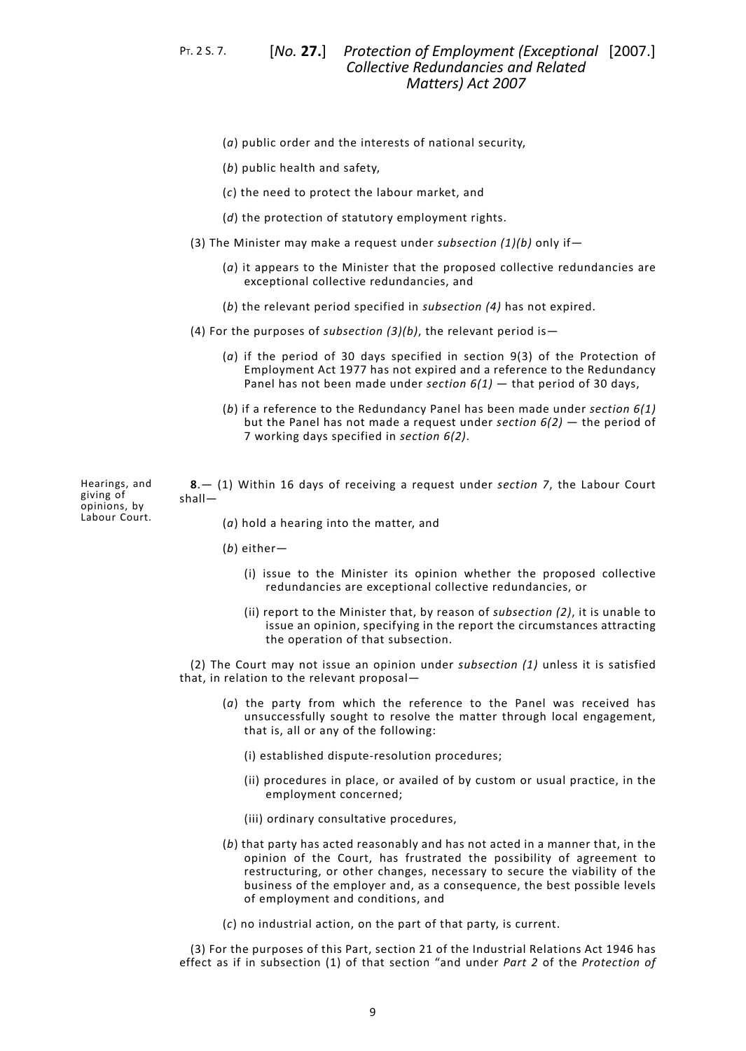PT. 2 S. 7. [*No.* **27.**]

- (*a*) public order and the interests of national security,
- (*b*) public health and safety,
- (*c*) the need to protect the labour market, and
- (*d*) the protection of statutory employment rights.
- (3) The Minister may make a request under *subsection (1)(b)* only if—
	- (*a*) it appears to the Minister that the proposed collective redundancies are exceptional collective redundancies, and
	- (*b*) the relevant period specified in *subsection (4)* has not expired.
- (4) For the purposes of *subsection (3)(b)*, the relevant period is—
	- (*a*) if the period of 30 days specified in section 9(3) of the Protection of Employment Act 1977 has not expired and a reference to the Redundancy Panel has not been made under *[section](#page-10-0) 6(1)* — that period of 30 days,
	- (*b*) if a reference to the Redundancy Panel has been made under *[section](#page-10-0) 6(1)* but the Panel has not made a request under *[section](#page-10-0) 6(2)* — the period of 7 working days specified in *[section](#page-10-0) 6(2)*.

Hearings, and giving of opinions, by Labour Court.

<span id="page-12-0"></span>**8**.— (1) Within 16 days of receiving a request under *[section](#page-11-0) 7*, the Labour Court shall—

(*a*) hold a hearing into the matter, and

- (*b*) either—
	- (i) issue to the Minister its opinion whether the proposed collective redundancies are exceptional collective redundancies, or
	- (ii) report to the Minister that, by reason of *subsection (2)*, it is unable to issue an opinion, specifying in the report the circumstances attracting the operation of that subsection.

(2) The Court may not issue an opinion under *subsection (1)* unless it is satisfied that, in relation to the relevant proposal—

- (*a*) the party from which the reference to the Panel was received has unsuccessfully sought to resolve the matter through local engagement, that is, all or any of the following:
	- (i) established dispute-resolution procedures;
	- (ii) procedures in place, or availed of by custom or usual practice, in the employment concerned;
	- (iii) ordinary consultative procedures,
- (*b*) that party has acted reasonably and has not acted in a manner that, in the opinion of the Court, has frustrated the possibility of agreement to restructuring, or other changes, necessary to secure the viability of the business of the employer and, as a consequence, the best possible levels of employment and conditions, and
- (*c*) no industrial action, on the part of that party, is current.

(3) For the purposes of this Part, section 21 of the Industrial Relations Act 1946 has effect as if in subsection (1) of that section "and under *[Part](#page-9-0) 2* of the *Protection of*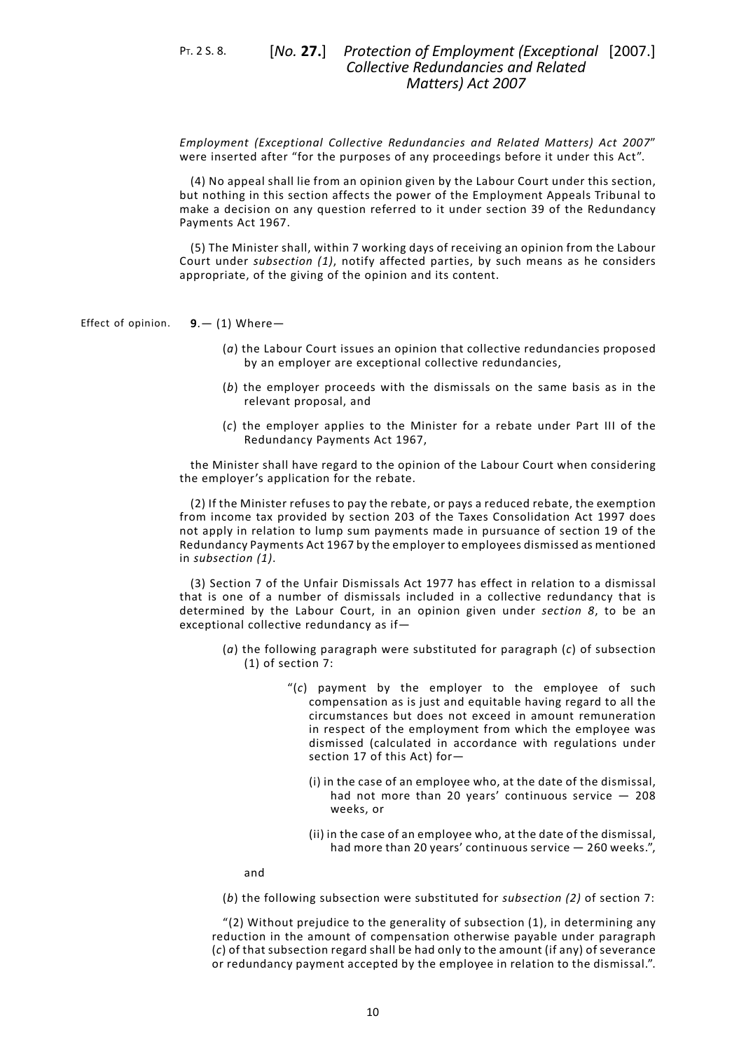PT. 2 S. 8. [*No.* **27.**]

*Employment (Exceptional Collective Redundancies and Related Matters) Act 2007*" were inserted after "for the purposes of any proceedings before it under this Act".

(4) No appeal shall lie from an opinion given by the Labour Court under this section, but nothing in this section affects the power of the Employment Appeals Tribunal to make a decision on any question referred to it under section 39 of the Redundancy Payments Act 1967.

<span id="page-13-0"></span>(5) The Minister shall, within 7 working days of receiving an opinion from the Labour Court under *subsection (1)*, notify affected parties, by such means as he considers appropriate, of the giving of the opinion and its content.

Effect of opinion. **9**.— (1) Where—

- (*a*) the Labour Court issues an opinion that collective redundancies proposed by an employer are exceptional collective redundancies,
- (*b*) the employer proceeds with the dismissals on the same basis as in the relevant proposal, and
- (*c*) the employer applies to the Minister for a rebate under Part III of the Redundancy Payments Act 1967,

the Minister shall have regard to the opinion of the Labour Court when considering the employer's application for the rebate.

(2) If the Minister refuses to pay the rebate, or pays a reduced rebate, the exemption from income tax provided by section 203 of the Taxes Consolidation Act 1997 does not apply in relation to lump sum payments made in pursuance of section 19 of the Redundancy Payments Act 1967 by the employer to employees dismissed as mentioned in *subsection (1)*.

(3) Section 7 of the Unfair Dismissals Act 1977 has effect in relation to a dismissal that is one of a number of dismissals included in a collective redundancy that is determined by the Labour Court, in an opinion given under *[section](#page-12-0) 8*, to be an exceptional collective redundancy as if—

- (*a*) the following paragraph were substituted for paragraph (*c*) of subsection (1) of section 7:
	- "(*c*) payment by the employer to the employee of such compensation as is just and equitable having regard to all the circumstances but does not exceed in amount remuneration in respect of the employment from which the employee was dismissed (calculated in accordance with regulations under section 17 of this Act) for—
		- (i) in the case of an employee who, at the date of the dismissal, had not more than 20 years' continuous service — 208 weeks, or
		- (ii) in the case of an employee who, at the date of the dismissal, had more than 20 years' continuous service — 260 weeks.",

and

(*b*) the following subsection were substituted for *subsection (2)* of section 7:

"(2) Without prejudice to the generality of subsection (1), in determining any reduction in the amount of compensation otherwise payable under paragraph (*c*) of that subsection regard shall be had only to the amount (if any) of severance or redundancy payment accepted by the employee in relation to the dismissal.".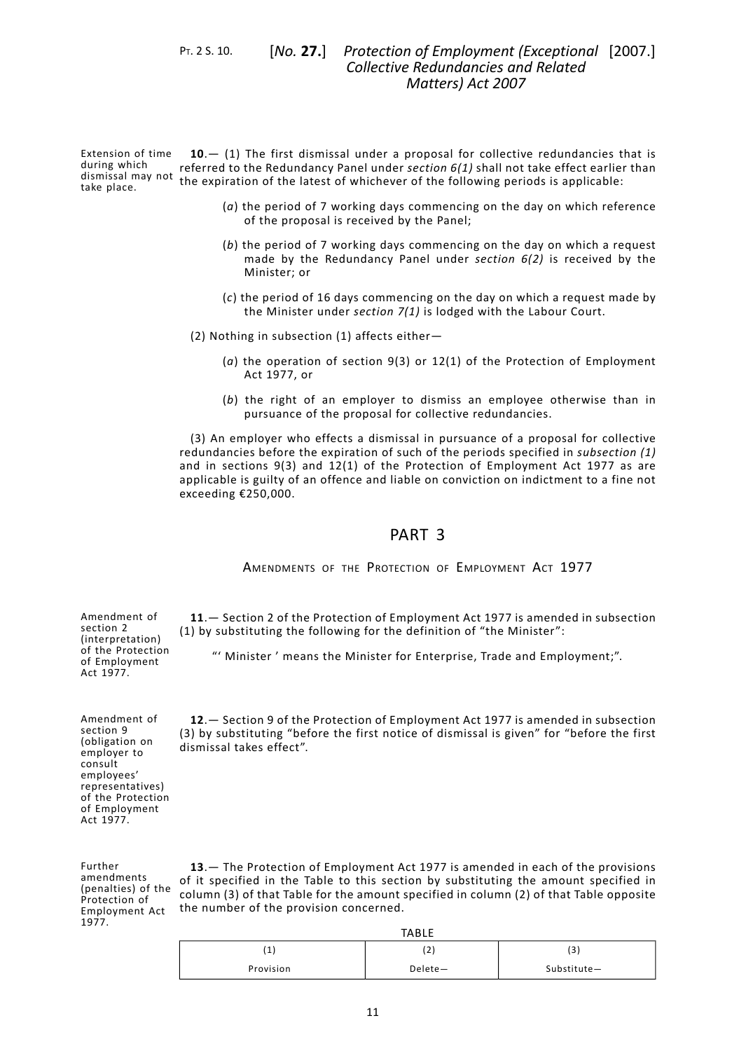<span id="page-14-0"></span>PT. 2 S. 10. [*No.* **27.**]

Extension of time during which dismissal may not take place. **10**.— (1) The first dismissal under a proposal for collective redundancies that is referred to the Redundancy Panel under *[section](#page-10-0) 6(1)* shall not take effect earlier than the expiration of the latest of whichever of the following periods is applicable:

- (*a*) the period of 7 working days commencing on the day on which reference of the proposal is received by the Panel;
- (*b*) the period of 7 working days commencing on the day on which a request made by the Redundancy Panel under *[section](#page-10-0) 6(2)* is received by the Minister; or
- (*c*) the period of 16 days commencing on the day on which a request made by the Minister under *[section](#page-11-0) 7(1)* is lodged with the Labour Court.
- (2) Nothing in subsection (1) affects either—
	- (*a*) the operation of section 9(3) or 12(1) of the Protection of Employment Act 1977, or
	- (*b*) the right of an employer to dismiss an employee otherwise than in pursuance of the proposal for collective redundancies.

<span id="page-14-1"></span>(3) An employer who effects a dismissal in pursuance of a proposal for collective redundancies before the expiration of such of the periods specified in *subsection (1)* and in sections 9(3) and 12(1) of the Protection of Employment Act 1977 as are applicable is guilty of an offence and liable on conviction on indictment to a fine not exceeding €250,000.

# PART 3

AMENDMENTS OF THE PROTECTION OF EMPLOYMENT ACT 1977

<span id="page-14-3"></span><span id="page-14-2"></span>**11**.— Section 2 of the Protection of Employment Act 1977 is amended in subsection (1) by substituting the following for the definition of "the Minister":

"' Minister ' means the Minister for Enterprise, Trade and Employment;".

<span id="page-14-4"></span>**12**.— Section 9 of the Protection of Employment Act 1977 is amended in subsection

Amendment of section 9 (obligation on employer to consult employees' representatives) of the Protection of Employment Act 1977. (3) by substituting "before the first notice of dismissal is given" for "before the first dismissal takes effect".

Amendment of section 2 (interpretation) of the Protection of Employment Act 1977.

Employment Act **13**.— The Protection of Employment Act 1977 is amended in each of the provisions of it specified in the Table to this section by substituting the amount specified in column (3) of that Table for the amount specified in column (2) of that Table opposite the number of the provision concerned.

| <b>TABLE</b> |         |                                |  |  |
|--------------|---------|--------------------------------|--|--|
| л.,          | (2      | $\overline{\phantom{0}}$<br>3. |  |  |
| Provision    | Delete- | Substitute-                    |  |  |

Further amendments (penalties) of the Protection of

1977.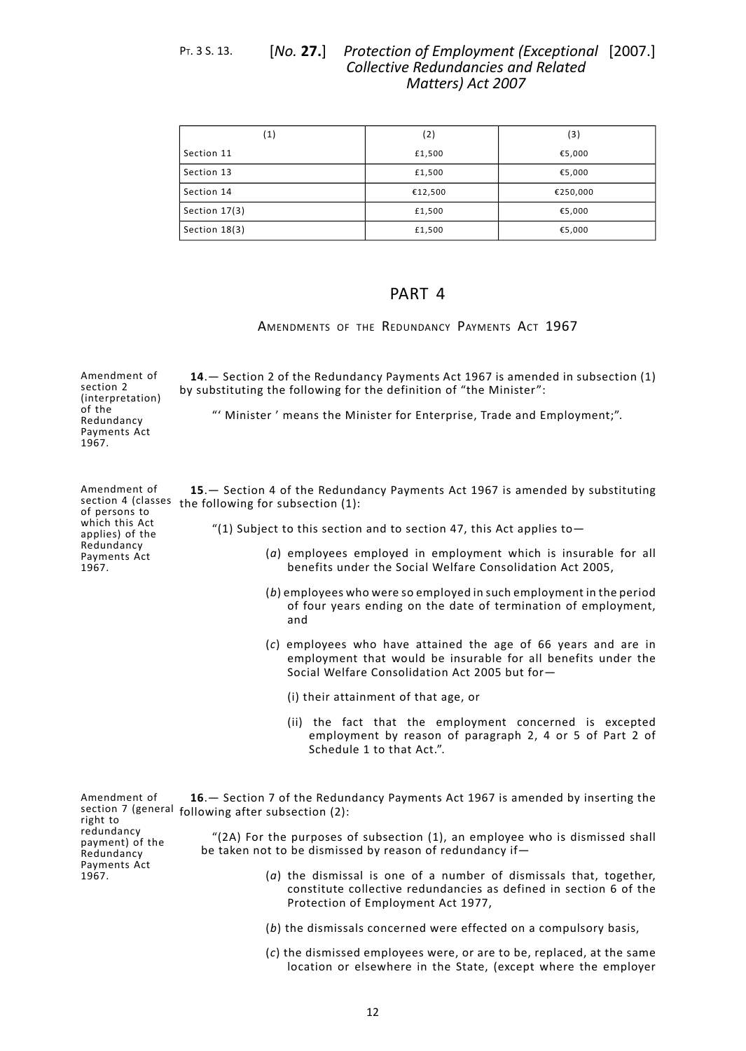#### *Protection of Employment (Exceptional* [2007.] *Collective Redundancies and Related Matters) Act 2007* PT. 3 S. 13. [*No.* **27.**]

| $\left( 1 \right)$ | (2)     | (3)      |
|--------------------|---------|----------|
| Section 11         | £1,500  | €5,000   |
| Section 13         | £1,500  | €5,000   |
| Section 14         | €12,500 | €250,000 |
| Section 17(3)      | £1,500  | €5,000   |
| Section 18(3)      | £1,500  | €5,000   |

# PART 4

<span id="page-15-1"></span><span id="page-15-0"></span>AMENDMENTS OF THE REDUNDANCY PAYMENTS ACT 1967

<span id="page-15-2"></span>

| Amendment of<br>section 2<br>(interpretation)<br>of the<br>Redundancy<br>Payments Act<br>1967.                                  | 14. - Section 2 of the Redundancy Payments Act 1967 is amended in subsection (1)<br>by substituting the following for the definition of "the Minister":<br>"' Minister' means the Minister for Enterprise, Trade and Employment;".                                                                                                                                                                                                                                                                                                                                                                                                                                                                                                                                                                                                                                |
|---------------------------------------------------------------------------------------------------------------------------------|-------------------------------------------------------------------------------------------------------------------------------------------------------------------------------------------------------------------------------------------------------------------------------------------------------------------------------------------------------------------------------------------------------------------------------------------------------------------------------------------------------------------------------------------------------------------------------------------------------------------------------------------------------------------------------------------------------------------------------------------------------------------------------------------------------------------------------------------------------------------|
| Amendment of<br>section 4 (classes<br>of persons to<br>which this Act<br>applies) of the<br>Redundancy<br>Payments Act<br>1967. | 15. - Section 4 of the Redundancy Payments Act 1967 is amended by substituting<br>the following for subsection (1):<br>"(1) Subject to this section and to section 47, this Act applies to $-$<br>(a) employees employed in employment which is insurable for all<br>benefits under the Social Welfare Consolidation Act 2005,<br>(b) employees who were so employed in such employment in the period<br>of four years ending on the date of termination of employment,<br>and<br>$(c)$ employees who have attained the age of 66 years and are in<br>employment that would be insurable for all benefits under the<br>Social Welfare Consolidation Act 2005 but for-<br>(i) their attainment of that age, or<br>(ii) the fact that the employment concerned is excepted<br>employment by reason of paragraph 2, 4 or 5 of Part 2 of<br>Schedule 1 to that Act.". |
| Amendment of<br>section 7 (general<br>right to<br>redundancy<br>payment) of the<br>Redundancy<br>Payments Act<br>1967.          | 16. - Section 7 of the Redundancy Payments Act 1967 is amended by inserting the<br>following after subsection (2):<br>"(2A) For the purposes of subsection (1), an employee who is dismissed shall<br>be taken not to be dismissed by reason of redundancy if-<br>$(a)$ the dismissal is one of a number of dismissals that, together,<br>constitute collective redundancies as defined in section 6 of the<br>Protection of Employment Act 1977,                                                                                                                                                                                                                                                                                                                                                                                                                 |

- <span id="page-15-3"></span>(*b*) the dismissals concerned were effected on a compulsory basis,
- (*c*) the dismissed employees were, or are to be, replaced, at the same location or elsewhere in the State, (except where the employer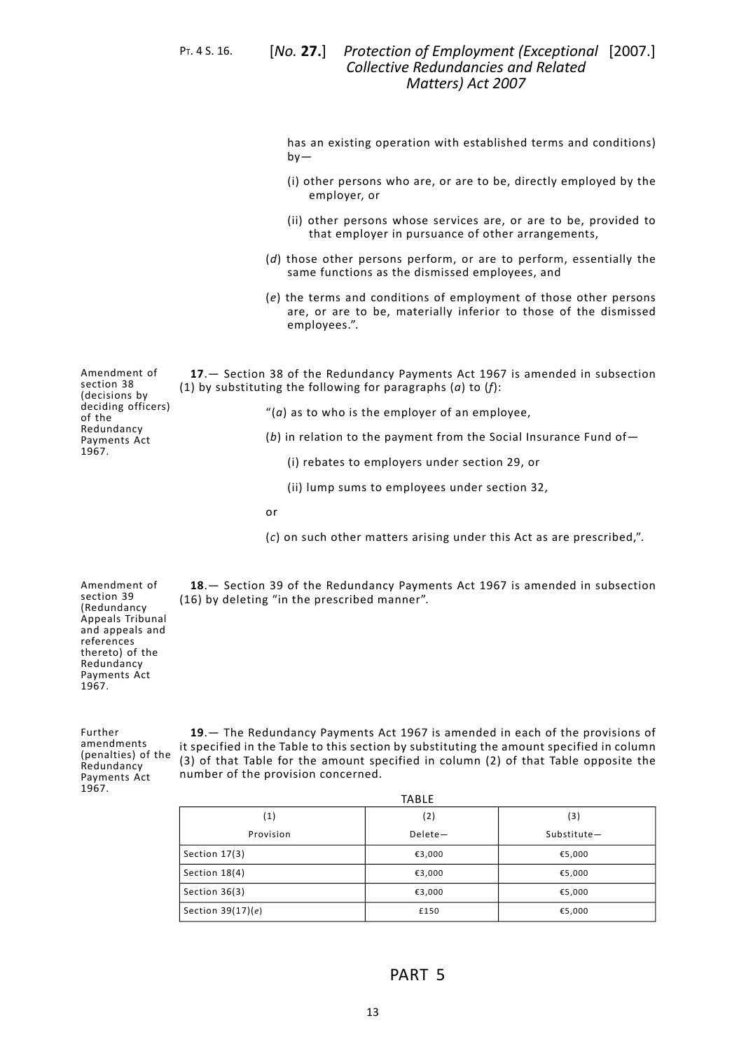PT. 4 S. 16. [*No.* **27.**]

has an existing operation with established terms and conditions)  $bv -$ 

- (i) other persons who are, or are to be, directly employed by the employer, or
- (ii) other persons whose services are, or are to be, provided to that employer in pursuance of other arrangements,
- (*d*) those other persons perform, or are to perform, essentially the same functions as the dismissed employees, and
- (*e*) the terms and conditions of employment of those other persons are, or are to be, materially inferior to those of the dismissed employees.".

<span id="page-16-0"></span>Amendment of section 38 (decisions by deciding officers) of the Redundancy Payments Act 1967. **17**.— Section 38 of the Redundancy Payments Act 1967 is amended in subsection (1) by substituting the following for paragraphs (*a*) to (*f*): "(*a*) as to who is the employer of an employee, (*b*) in relation to the payment from the Social Insurance Fund of— (i) rebates to employers under section 29, or (ii) lump sums to employees under section 32,

or

(*c*) on such other matters arising under this Act as are prescribed,".

<span id="page-16-2"></span><span id="page-16-1"></span>**18**.— Section 39 of the Redundancy Payments Act 1967 is amended in subsection (16) by deleting "in the prescribed manner".

Amendment of section 39 (Redundancy Appeals Tribunal and appeals and references thereto) of the Redundancy Payments Act 1967.

Further amendments (penalties) of the Redundancy Payments Act 1967.

**19**.— The Redundancy Payments Act 1967 is amended in each of the provisions of it specified in the Table to this section by substituting the amount specified in column (3) of that Table for the amount specified in column (2) of that Table opposite the number of the provision concerned.

<span id="page-16-3"></span>

| <b>TABLE</b>        |           |             |  |  |
|---------------------|-----------|-------------|--|--|
| (1)                 | (2)       | (3)         |  |  |
| Provision           | $Delete-$ | Substitute- |  |  |
| Section 17(3)       | €3,000    | €5,000      |  |  |
| Section 18(4)       | €3,000    | €5,000      |  |  |
| Section $36(3)$     | €3,000    | €5,000      |  |  |
| Section $39(17)(e)$ | £150      | €5,000      |  |  |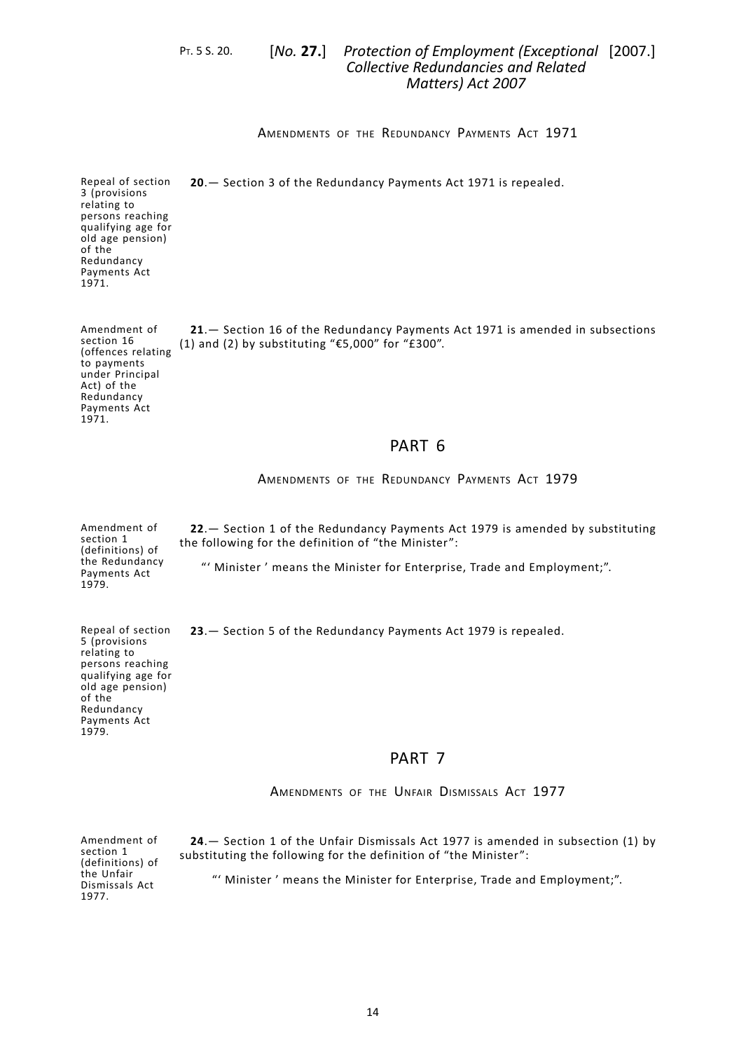# P<sub>T</sub>. 5 S. 20. [No. 27.] Protection of Employment (Exceptional [2007.] *Collective Redundancies and Related Matters) Act 2007*

AMENDMENTS OF THE REDUNDANCY PAYMENTS ACT 1971

<span id="page-17-1"></span><span id="page-17-0"></span>**20**.— Section 3 of the Redundancy Payments Act 1971 is repealed.

Repeal of section 3 (provisions relating to persons reaching qualifying age for old age pension) of the Redundancy Payments Act 1971.

<span id="page-17-2"></span>Amendment of section 16 (offences relating to payments under Principal Act) of the Redundancy Payments Act 1971. **21**.— Section 16 of the Redundancy Payments Act 1971 is amended in subsections (1) and (2) by substituting "€5,000" for "£300".

# PART 6

<span id="page-17-3"></span>AMENDMENTS OF THE REDUNDANCY PAYMENTS ACT 1979

<span id="page-17-4"></span>Amendment of section 1 (definitions) of the Redundancy Payments Act 1979. **22**.— Section 1 of the Redundancy Payments Act 1979 is amended by substituting the following for the definition of "the Minister": "' Minister ' means the Minister for Enterprise, Trade and Employment;".

<span id="page-17-5"></span>**23**.— Section 5 of the Redundancy Payments Act 1979 is repealed.

# PART 7

AMENDMENTS OF THE UNFAIR DISMISSALS ACT 1977

Amendment of section 1 (definitions) of the Unfair Dismissals Act 1977.

Repeal of section 5 (provisions relating to persons reaching qualifying age for old age pension)

<span id="page-17-6"></span>of the Redundancy Payments Act 1979.

> **24**.— Section 1 of the Unfair Dismissals Act 1977 is amended in subsection (1) by substituting the following for the definition of "the Minister":

"' Minister ' means the Minister for Enterprise, Trade and Employment;".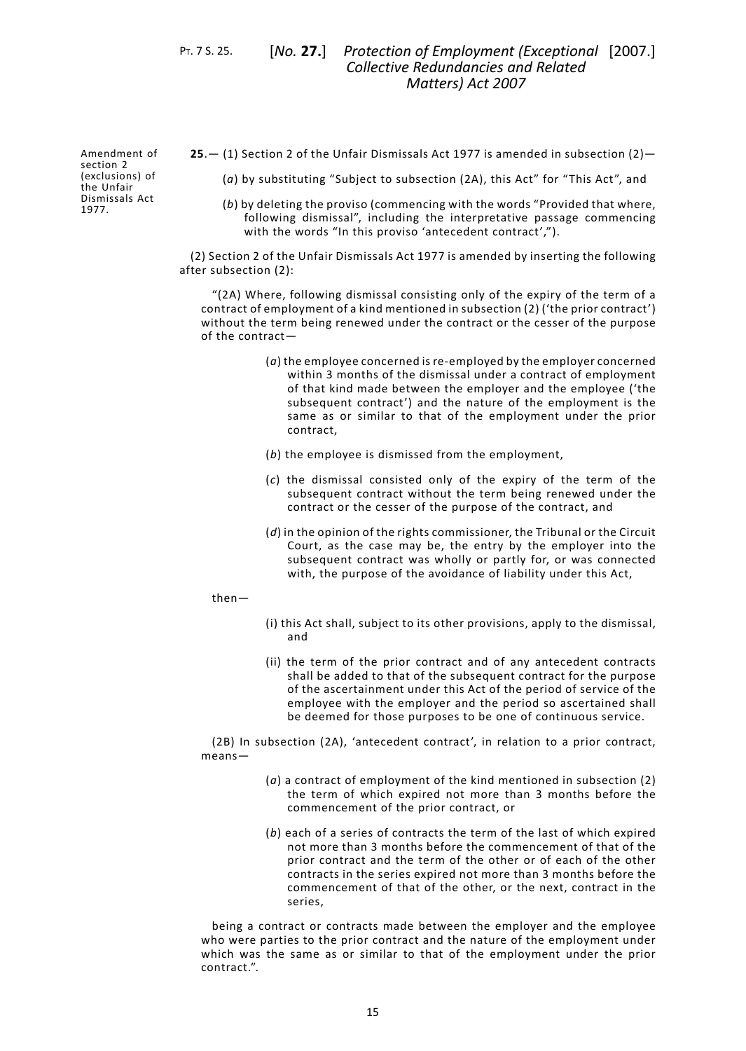PT. 7 S. 25. [*No.* **27.**]

Amendment of section 2 (exclusions) of the Unfair Dismissals Act 1977.

<span id="page-18-0"></span>**25**.— (1) Section 2 of the Unfair Dismissals Act 1977 is amended in subsection (2)—

(*a*) by substituting "Subject to subsection (2A), this Act" for "This Act", and

(*b*) by deleting the proviso (commencing with the words "Provided that where, following dismissal", including the interpretative passage commencing with the words "In this proviso 'antecedent contract',").

(2) Section 2 of the Unfair Dismissals Act 1977 is amended by inserting the following after subsection (2):

"(2A) Where, following dismissal consisting only of the expiry of the term of a contract of employment of a kind mentioned in subsection (2) ('the prior contract') without the term being renewed under the contract or the cesser of the purpose of the contract—

- (*a*) the employee concerned is re-employed by the employer concerned within 3 months of the dismissal under a contract of employment of that kind made between the employer and the employee ('the subsequent contract') and the nature of the employment is the same as or similar to that of the employment under the prior contract,
- (*b*) the employee is dismissed from the employment,
- (*c*) the dismissal consisted only of the expiry of the term of the subsequent contract without the term being renewed under the contract or the cesser of the purpose of the contract, and
- (*d*) in the opinion of the rights commissioner, the Tribunal or the Circuit Court, as the case may be, the entry by the employer into the subsequent contract was wholly or partly for, or was connected with, the purpose of the avoidance of liability under this Act,

#### then—

- (i) this Act shall, subject to its other provisions, apply to the dismissal, and
- (ii) the term of the prior contract and of any antecedent contracts shall be added to that of the subsequent contract for the purpose of the ascertainment under this Act of the period of service of the employee with the employer and the period so ascertained shall be deemed for those purposes to be one of continuous service.

(2B) In subsection (2A), 'antecedent contract', in relation to a prior contract, means—

- (*a*) a contract of employment of the kind mentioned in subsection (2) the term of which expired not more than 3 months before the commencement of the prior contract, or
- (*b*) each of a series of contracts the term of the last of which expired not more than 3 months before the commencement of that of the prior contract and the term of the other or of each of the other contracts in the series expired not more than 3 months before the commencement of that of the other, or the next, contract in the series,

being a contract or contracts made between the employer and the employee who were parties to the prior contract and the nature of the employment under which was the same as or similar to that of the employment under the prior contract.".